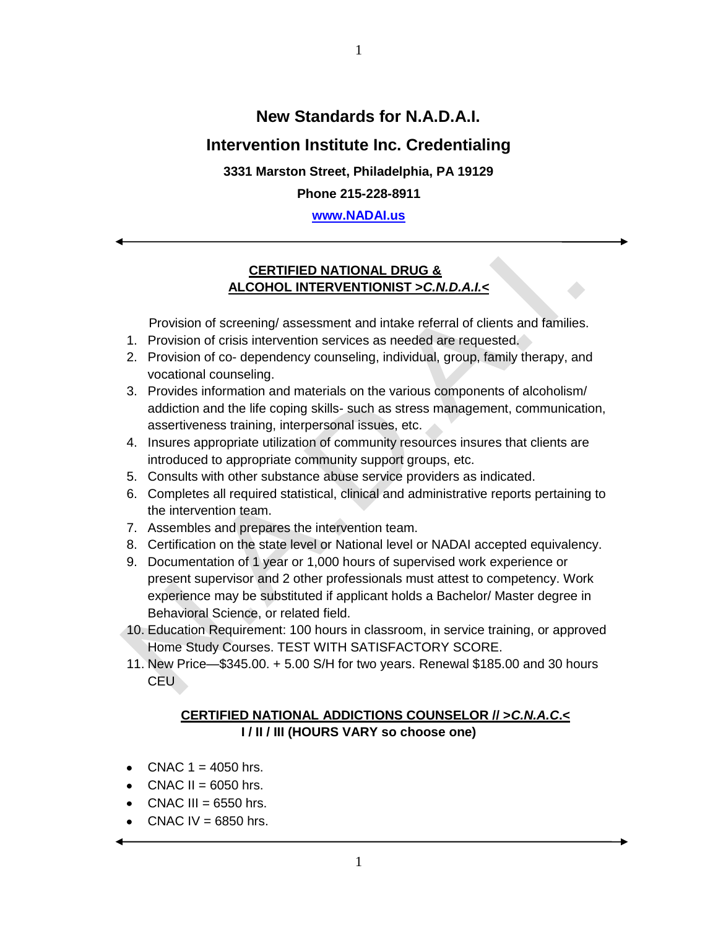# **New Standards for N.A.D.A.I.**

# **Intervention Institute Inc. Credentialing**

1

**3331 Marston Street, Philadelphia, PA 19129**

**Phone 215-228-8911**

**[www.NADAI.us](http://www.nadai.us/)**

# **CERTIFIED NATIONAL DRUG & ALCOHOL INTERVENTIONIST >***C.N.D.A.I.<*

Provision of screening/ assessment and intake referral of clients and families.

- 1. Provision of crisis intervention services as needed are requested.
- 2. Provision of co- dependency counseling, individual, group, family therapy, and vocational counseling.
- 3. Provides information and materials on the various components of alcoholism/ addiction and the life coping skills- such as stress management, communication, assertiveness training, interpersonal issues, etc.
- 4. Insures appropriate utilization of community resources insures that clients are introduced to appropriate community support groups, etc.
- 5. Consults with other substance abuse service providers as indicated.
- 6. Completes all required statistical, clinical and administrative reports pertaining to the intervention team.
- 7. Assembles and prepares the intervention team.
- 8. Certification on the state level or National level or NADAI accepted equivalency.
- 9. Documentation of 1 year or 1,000 hours of supervised work experience or present supervisor and 2 other professionals must attest to competency. Work experience may be substituted if applicant holds a Bachelor/ Master degree in Behavioral Science, or related field.
- 10. Education Requirement: 100 hours in classroom, in service training, or approved Home Study Courses. TEST WITH SATISFACTORY SCORE.
- 11. New Price—\$345.00. + 5.00 S/H for two years. Renewal \$185.00 and 30 hours CEU

# **CERTIFIED NATIONAL ADDICTIONS COUNSELOR // >***C.N.A.C***.< I / II / III (HOURS VARY so choose one)**

- $\bullet$  CNAC 1 = 4050 hrs.
- $\bullet$  CNAC II = 6050 hrs.
- $\bullet$  CNAC III = 6550 hrs.
- $\bullet$  CNAC IV = 6850 hrs.

1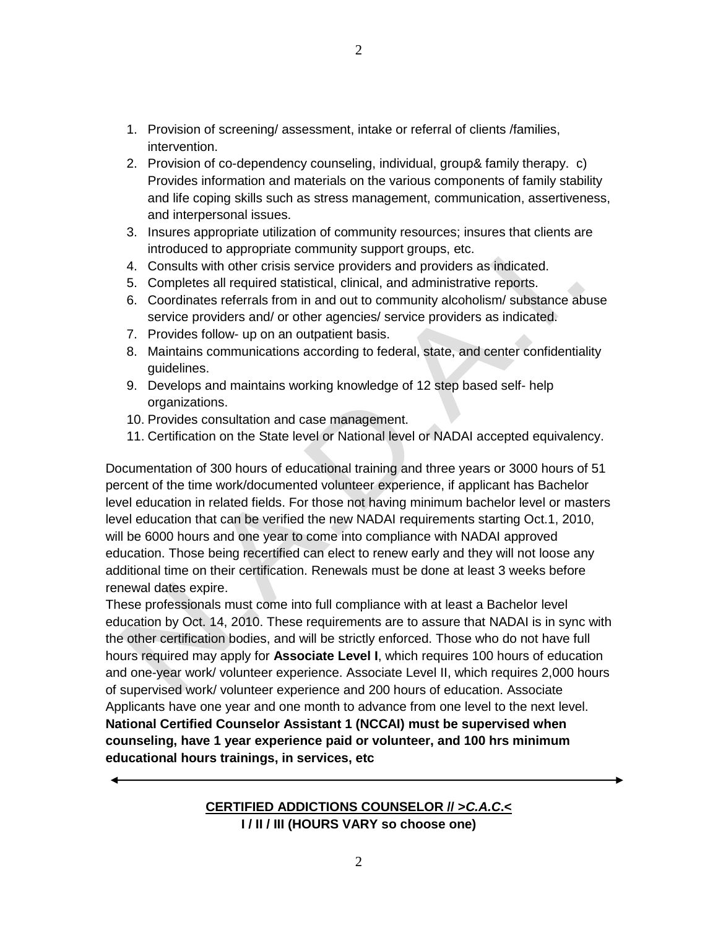- 1. Provision of screening/ assessment, intake or referral of clients /families, intervention.
- 2. Provision of co-dependency counseling, individual, group& family therapy. c) Provides information and materials on the various components of family stability and life coping skills such as stress management, communication, assertiveness, and interpersonal issues.
- 3. Insures appropriate utilization of community resources; insures that clients are introduced to appropriate community support groups, etc.
- 4. Consults with other crisis service providers and providers as indicated.
- 5. Completes all required statistical, clinical, and administrative reports.
- 6. Coordinates referrals from in and out to community alcoholism/ substance abuse service providers and/ or other agencies/ service providers as indicated.
- 7. Provides follow- up on an outpatient basis.
- 8. Maintains communications according to federal, state, and center confidentiality guidelines.
- 9. Develops and maintains working knowledge of 12 step based self- help organizations.
- 10. Provides consultation and case management.
- 11. Certification on the State level or National level or NADAI accepted equivalency.

Documentation of 300 hours of educational training and three years or 3000 hours of 51 percent of the time work/documented volunteer experience, if applicant has Bachelor level education in related fields. For those not having minimum bachelor level or masters level education that can be verified the new NADAI requirements starting Oct.1, 2010, will be 6000 hours and one year to come into compliance with NADAI approved education. Those being recertified can elect to renew early and they will not loose any additional time on their certification. Renewals must be done at least 3 weeks before renewal dates expire.

These professionals must come into full compliance with at least a Bachelor level education by Oct. 14, 2010. These requirements are to assure that NADAI is in sync with the other certification bodies, and will be strictly enforced. Those who do not have full hours required may apply for **Associate Level I**, which requires 100 hours of education and one-year work/ volunteer experience. Associate Level II, which requires 2,000 hours of supervised work/ volunteer experience and 200 hours of education. Associate Applicants have one year and one month to advance from one level to the next level. **National Certified Counselor Assistant 1 (NCCAI) must be supervised when counseling, have 1 year experience paid or volunteer, and 100 hrs minimum educational hours trainings, in services, etc**

### **CERTIFIED ADDICTIONS COUNSELOR // >***C.A.C***.< I / II / III (HOURS VARY so choose one)**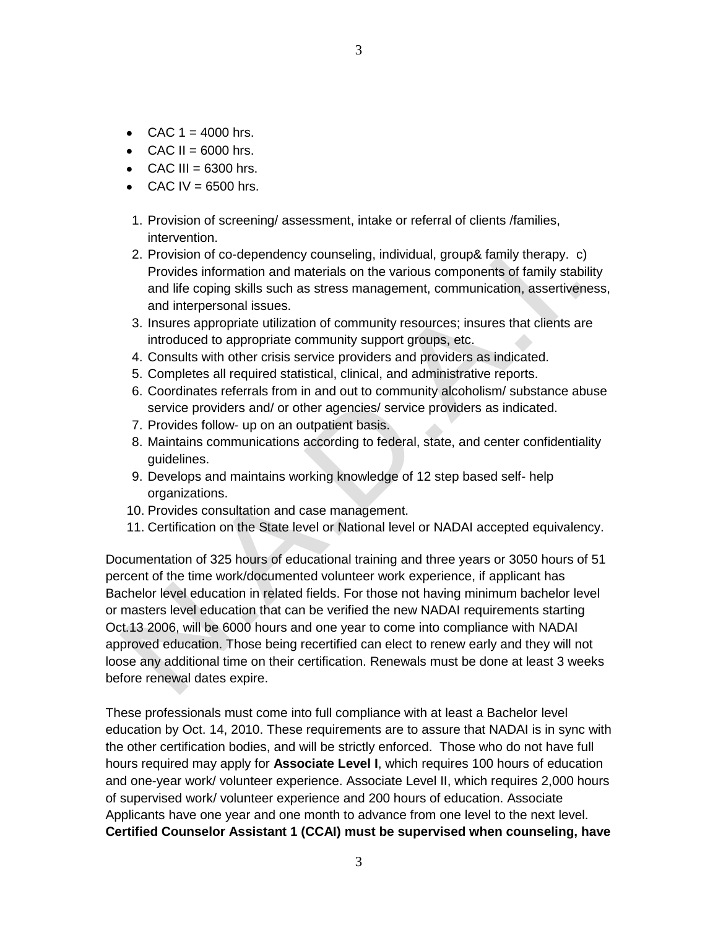- $\bullet$  CAC 1 = 4000 hrs.
- $\bullet$  CAC II = 6000 hrs.
- $\bullet$  CAC III = 6300 hrs.
- $\bullet$  CAC IV = 6500 hrs.
- 1. Provision of screening/ assessment, intake or referral of clients /families, intervention.
- 2. Provision of co-dependency counseling, individual, group& family therapy. c) Provides information and materials on the various components of family stability and life coping skills such as stress management, communication, assertiveness, and interpersonal issues.
- 3. Insures appropriate utilization of community resources; insures that clients are introduced to appropriate community support groups, etc.
- 4. Consults with other crisis service providers and providers as indicated.
- 5. Completes all required statistical, clinical, and administrative reports.
- 6. Coordinates referrals from in and out to community alcoholism/ substance abuse service providers and/ or other agencies/ service providers as indicated.
- 7. Provides follow- up on an outpatient basis.
- 8. Maintains communications according to federal, state, and center confidentiality guidelines.
- 9. Develops and maintains working knowledge of 12 step based self- help organizations.
- 10. Provides consultation and case management.
- 11. Certification on the State level or National level or NADAI accepted equivalency.

Documentation of 325 hours of educational training and three years or 3050 hours of 51 percent of the time work/documented volunteer work experience, if applicant has Bachelor level education in related fields. For those not having minimum bachelor level or masters level education that can be verified the new NADAI requirements starting Oct.13 2006, will be 6000 hours and one year to come into compliance with NADAI approved education. Those being recertified can elect to renew early and they will not loose any additional time on their certification. Renewals must be done at least 3 weeks before renewal dates expire.

These professionals must come into full compliance with at least a Bachelor level education by Oct. 14, 2010. These requirements are to assure that NADAI is in sync with the other certification bodies, and will be strictly enforced. Those who do not have full hours required may apply for **Associate Level I**, which requires 100 hours of education and one-year work/ volunteer experience. Associate Level II, which requires 2,000 hours of supervised work/ volunteer experience and 200 hours of education. Associate Applicants have one year and one month to advance from one level to the next level. **Certified Counselor Assistant 1 (CCAI) must be supervised when counseling, have**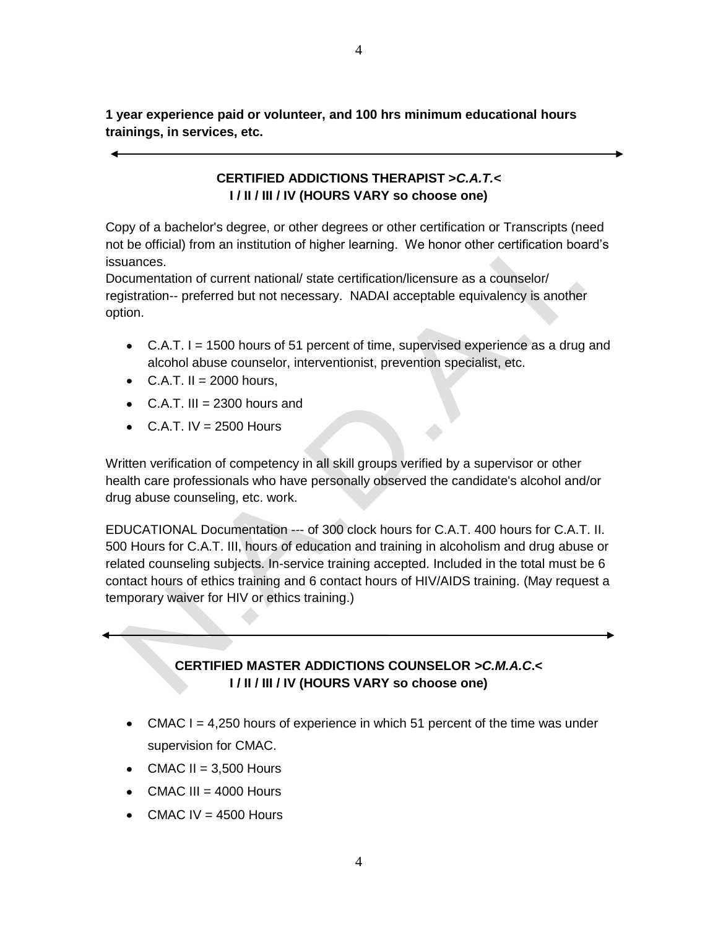**1 year experience paid or volunteer, and 100 hrs minimum educational hours trainings, in services, etc.**

# **CERTIFIED ADDICTIONS THERAPIST >***C.A.T.<* **I / II / III / IV (HOURS VARY so choose one)**

Copy of a bachelor's degree, or other degrees or other certification or Transcripts (need not be official) from an institution of higher learning. We honor other certification board's issuances.

Documentation of current national/ state certification/licensure as a counselor/ registration-- preferred but not necessary. NADAI acceptable equivalency is another option.

- $\bullet$  C.A.T. I = 1500 hours of 51 percent of time, supervised experience as a drug and alcohol abuse counselor, interventionist, prevention specialist, etc.
- $\bullet$  C.A.T. II = 2000 hours.
- $\bullet$  C.A.T. III = 2300 hours and
- $\bullet$  C.A.T. IV = 2500 Hours

Written verification of competency in all skill groups verified by a supervisor or other health care professionals who have personally observed the candidate's alcohol and/or drug abuse counseling, etc. work.

EDUCATIONAL Documentation --- of 300 clock hours for C.A.T. 400 hours for C.A.T. II. 500 Hours for C.A.T. III, hours of education and training in alcoholism and drug abuse or related counseling subjects. In-service training accepted. Included in the total must be 6 contact hours of ethics training and 6 contact hours of HIV/AIDS training. (May request a temporary waiver for HIV or ethics training.)

# **CERTIFIED MASTER ADDICTIONS COUNSELOR** *>C.M.A.C***.< I / II / III / IV (HOURS VARY so choose one)**

- $\bullet$  CMAC I = 4,250 hours of experience in which 51 percent of the time was under supervision for CMAC.
- CMAC II =  $3,500$  Hours
- $\bullet$  CMAC III = 4000 Hours
- $\bullet$  CMAC IV = 4500 Hours

4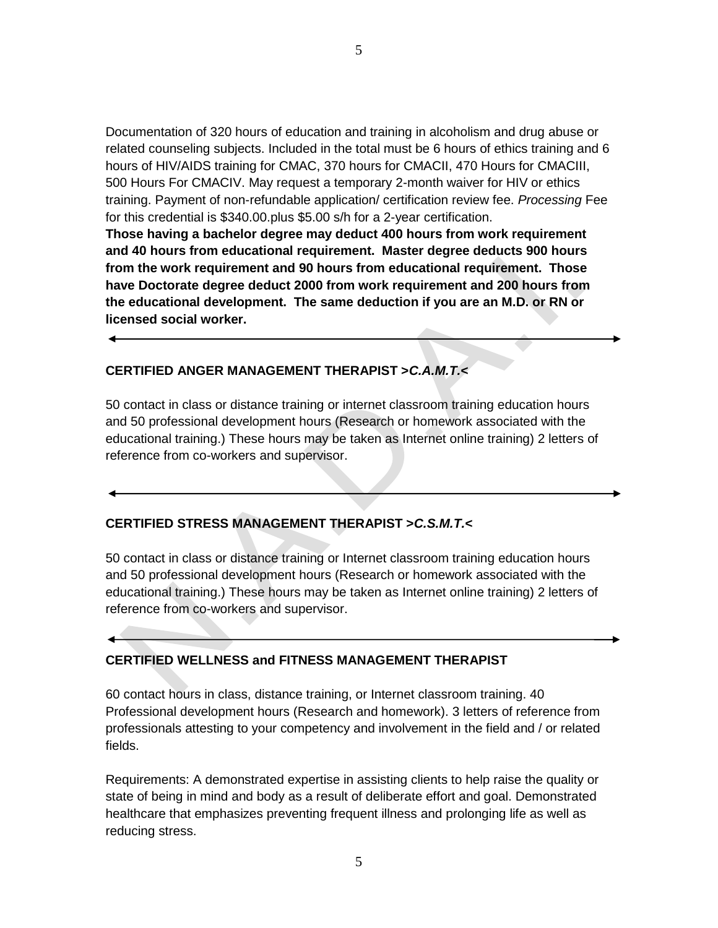Documentation of 320 hours of education and training in alcoholism and drug abuse or related counseling subjects. Included in the total must be 6 hours of ethics training and 6 hours of HIV/AIDS training for CMAC, 370 hours for CMACII, 470 Hours for CMACIII, 500 Hours For CMACIV. May request a temporary 2-month waiver for HIV or ethics training. Payment of non-refundable application/ certification review fee. *Processing* Fee for this credential is \$340.00.plus \$5.00 s/h for a 2-year certification.

**Those having a bachelor degree may deduct 400 hours from work requirement and 40 hours from educational requirement. Master degree deducts 900 hours from the work requirement and 90 hours from educational requirement. Those have Doctorate degree deduct 2000 from work requirement and 200 hours from the educational development. The same deduction if you are an M.D. or RN or licensed social worker.**

#### **CERTIFIED ANGER MANAGEMENT THERAPIST >***C.A.M.T.<*

50 contact in class or distance training or internet classroom training education hours and 50 professional development hours (Research or homework associated with the educational training.) These hours may be taken as Internet online training) 2 letters of reference from co-workers and supervisor.

#### **CERTIFIED STRESS MANAGEMENT THERAPIST >***C.S.M.T.<*

50 contact in class or distance training or Internet classroom training education hours and 50 professional development hours (Research or homework associated with the educational training.) These hours may be taken as Internet online training) 2 letters of reference from co-workers and supervisor.

#### **CERTIFIED WELLNESS and FITNESS MANAGEMENT THERAPIST**

60 contact hours in class, distance training, or Internet classroom training. 40 Professional development hours (Research and homework). 3 letters of reference from professionals attesting to your competency and involvement in the field and / or related fields.

Requirements: A demonstrated expertise in assisting clients to help raise the quality or state of being in mind and body as a result of deliberate effort and goal. Demonstrated healthcare that emphasizes preventing frequent illness and prolonging life as well as reducing stress.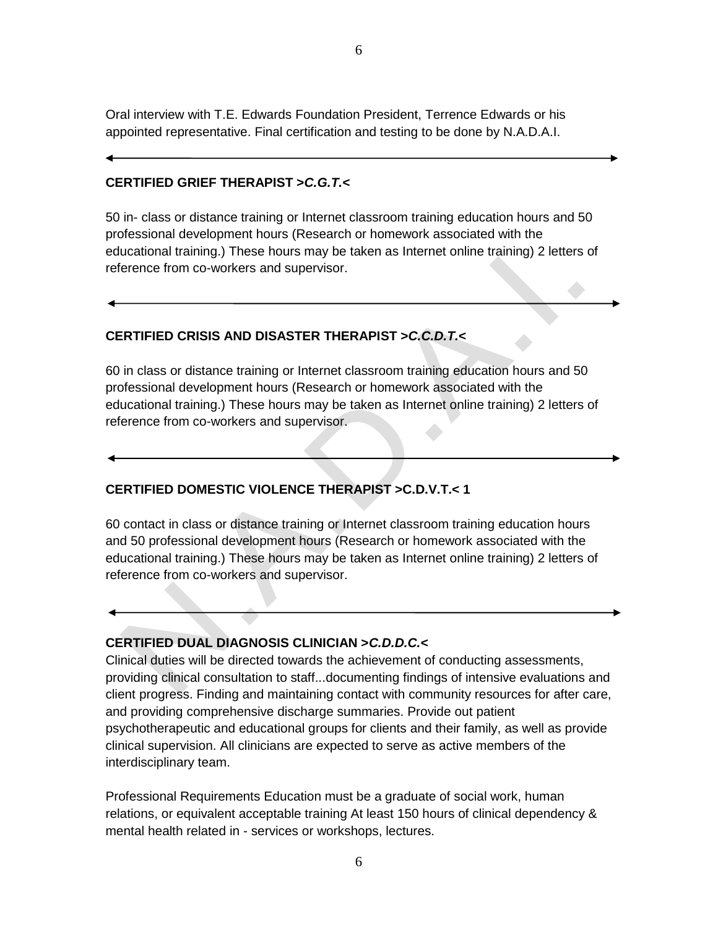Oral interview with T.E. Edwards Foundation President, Terrence Edwards or his appointed representative. Final certification and testing to be done by N.A.D.A.I.

#### **CERTIFIED GRIEF THERAPIST >***C.G.T.<*

50 in- class or distance training or Internet classroom training education hours and 50 professional development hours (Research or homework associated with the educational training.) These hours may be taken as Internet online training) 2 letters of reference from co-workers and supervisor.

# **CERTIFIED CRISIS AND DISASTER THERAPIST >***C.C.D.T.<*

60 in class or distance training or Internet classroom training education hours and 50 professional development hours (Research or homework associated with the educational training.) These hours may be taken as Internet online training) 2 letters of reference from co-workers and supervisor.

# **CERTIFIED DOMESTIC VIOLENCE THERAPIST >C.D.V.T.< 1**

60 contact in class or distance training or Internet classroom training education hours and 50 professional development hours (Research or homework associated with the educational training.) These hours may be taken as Internet online training) 2 letters of reference from co-workers and supervisor.

# **CERTIFIED DUAL DIAGNOSIS CLINICIAN >***C.D.D.C.<*

Clinical duties will be directed towards the achievement of conducting assessments, providing clinical consultation to staff...documenting findings of intensive evaluations and client progress. Finding and maintaining contact with community resources for after care, and providing comprehensive discharge summaries. Provide out patient psychotherapeutic and educational groups for clients and their family, as well as provide clinical supervision. All clinicians are expected to serve as active members of the interdisciplinary team.

Professional Requirements Education must be a graduate of social work, human relations, or equivalent acceptable training At least 150 hours of clinical dependency & mental health related in - services or workshops, lectures.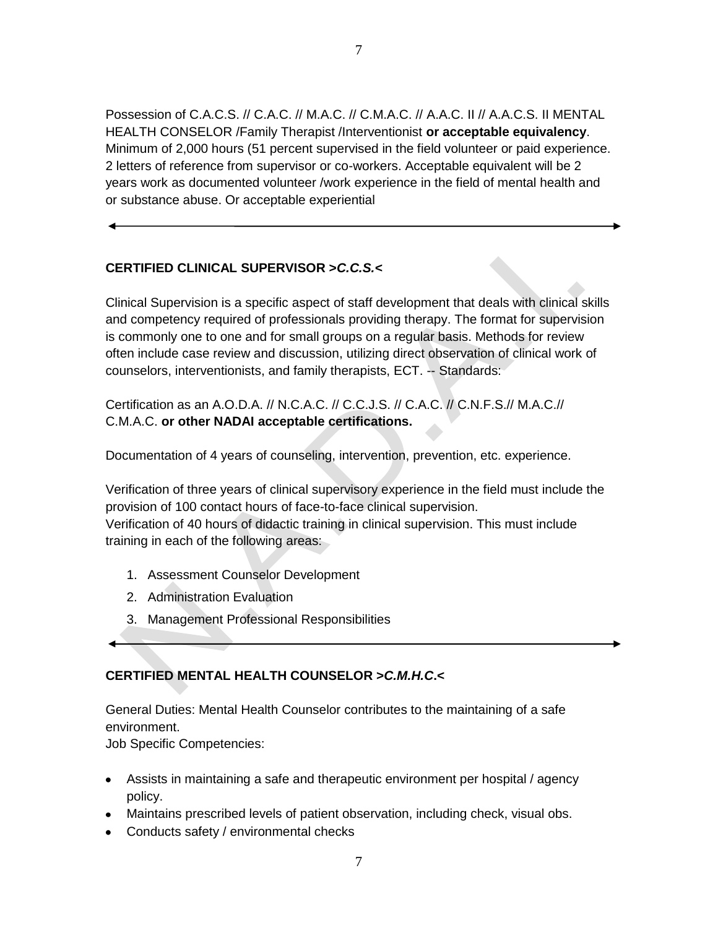Possession of C.A.C.S. // C.A.C. // M.A.C. // C.M.A.C. // A.A.C. II // A.A.C.S. II MENTAL HEALTH CONSELOR /Family Therapist /Interventionist **or acceptable equivalency**. Minimum of 2,000 hours (51 percent supervised in the field volunteer or paid experience. 2 letters of reference from supervisor or co-workers. Acceptable equivalent will be 2 years work as documented volunteer /work experience in the field of mental health and or substance abuse. Or acceptable experiential

# **CERTIFIED CLINICAL SUPERVISOR >***C.C.S.<*

Clinical Supervision is a specific aspect of staff development that deals with clinical skills and competency required of professionals providing therapy. The format for supervision is commonly one to one and for small groups on a regular basis. Methods for review often include case review and discussion, utilizing direct observation of clinical work of counselors, interventionists, and family therapists, ECT. -- Standards:

Certification as an A.O.D.A. // N.C.A.C. // C.C.J.S. // C.A.C. // C.N.F.S.// M.A.C.// C.M.A.C. **or other NADAI acceptable certifications.**

Documentation of 4 years of counseling, intervention, prevention, etc. experience.

Verification of three years of clinical supervisory experience in the field must include the provision of 100 contact hours of face-to-face clinical supervision. Verification of 40 hours of didactic training in clinical supervision. This must include training in each of the following areas:

- 1. Assessment Counselor Development
- 2. Administration Evaluation
- 3. Management Professional Responsibilities

# **CERTIFIED MENTAL HEALTH COUNSELOR >***C.M.H.C***.<**

General Duties: Mental Health Counselor contributes to the maintaining of a safe environment.

Job Specific Competencies:

- Assists in maintaining a safe and therapeutic environment per hospital / agency policy.
- Maintains prescribed levels of patient observation, including check, visual obs.
- Conducts safety / environmental checks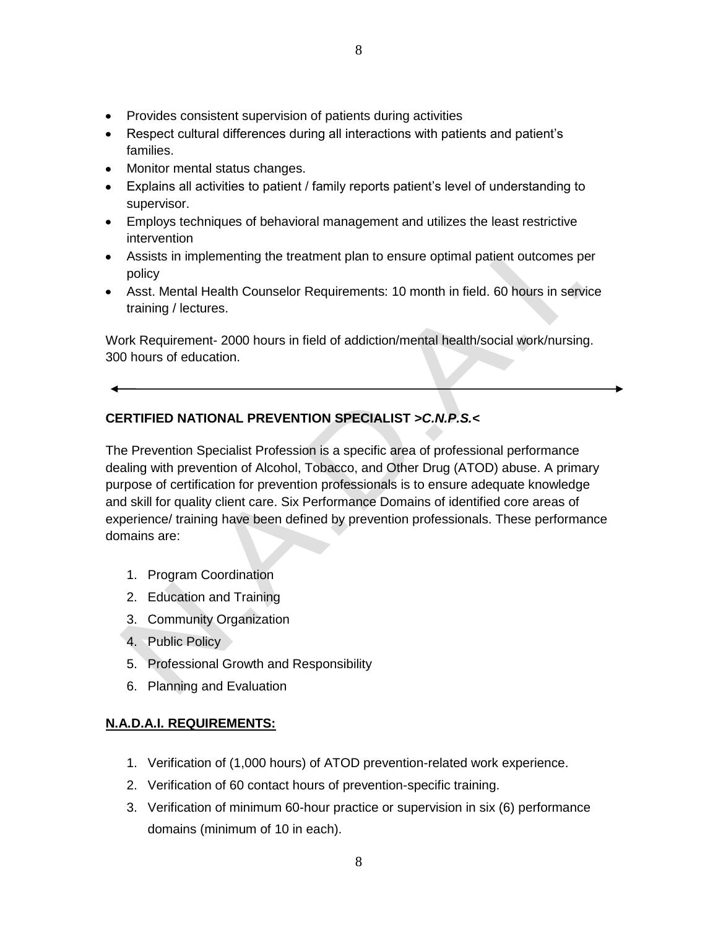- Provides consistent supervision of patients during activities
- Respect cultural differences during all interactions with patients and patient's families.
- Monitor mental status changes.
- Explains all activities to patient / family reports patient's level of understanding to supervisor.
- Employs techniques of behavioral management and utilizes the least restrictive intervention
- Assists in implementing the treatment plan to ensure optimal patient outcomes per policy
- Asst. Mental Health Counselor Requirements: 10 month in field. 60 hours in service training / lectures.

Work Requirement- 2000 hours in field of addiction/mental health/social work/nursing. 300 hours of education.

# **CERTIFIED NATIONAL PREVENTION SPECIALIST** *>C.N.P.S.<*

The Prevention Specialist Profession is a specific area of professional performance dealing with prevention of Alcohol, Tobacco, and Other Drug (ATOD) abuse. A primary purpose of certification for prevention professionals is to ensure adequate knowledge and skill for quality client care. Six Performance Domains of identified core areas of experience/ training have been defined by prevention professionals. These performance domains are:

- 1. Program Coordination
- 2. Education and Training
- 3. Community Organization
- 4. Public Policy
- 5. Professional Growth and Responsibility
- 6. Planning and Evaluation

#### **N.A.D.A.I. REQUIREMENTS:**

- 1. Verification of (1,000 hours) of ATOD prevention-related work experience.
- 2. Verification of 60 contact hours of prevention-specific training.
- 3. Verification of minimum 60-hour practice or supervision in six (6) performance domains (minimum of 10 in each).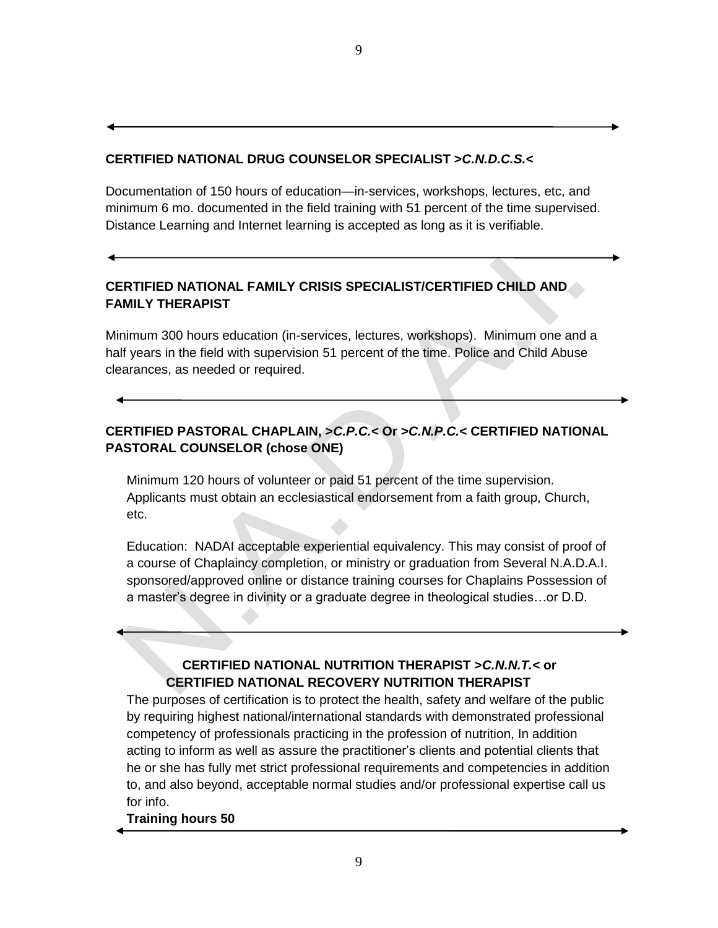#### **CERTIFIED NATIONAL DRUG COUNSELOR SPECIALIST >***C.N.D.C.S.<*

Documentation of 150 hours of education—in-services, workshops, lectures, etc, and minimum 6 mo. documented in the field training with 51 percent of the time supervised. Distance Learning and Internet learning is accepted as long as it is verifiable.

# **CERTIFIED NATIONAL FAMILY CRISIS SPECIALIST/CERTIFIED CHILD AND FAMILY THERAPIST**

Minimum 300 hours education (in-services, lectures, workshops). Minimum one and a half years in the field with supervision 51 percent of the time. Police and Child Abuse clearances, as needed or required.

# **CERTIFIED PASTORAL CHAPLAIN, >***C.P.C.<* **Or >***C.N.P.C.<* **CERTIFIED NATIONAL PASTORAL COUNSELOR (chose ONE)**

Minimum 120 hours of volunteer or paid 51 percent of the time supervision. Applicants must obtain an ecclesiastical endorsement from a faith group, Church, etc.

Education: NADAI acceptable experiential equivalency. This may consist of proof of a course of Chaplaincy completion, or ministry or graduation from Several N.A.D.A.I. sponsored/approved online or distance training courses for Chaplains Possession of a master's degree in divinity or a graduate degree in theological studies…or D.D.

# **CERTIFIED NATIONAL NUTRITION THERAPIST >***C.N.N.T.<* **or CERTIFIED NATIONAL RECOVERY NUTRITION THERAPIST**

The purposes of certification is to protect the health, safety and welfare of the public by requiring highest national/international standards with demonstrated professional competency of professionals practicing in the profession of nutrition, In addition acting to inform as well as assure the practitioner's clients and potential clients that he or she has fully met strict professional requirements and competencies in addition to, and also beyond, acceptable normal studies and/or professional expertise call us for info.

#### **Training hours 50**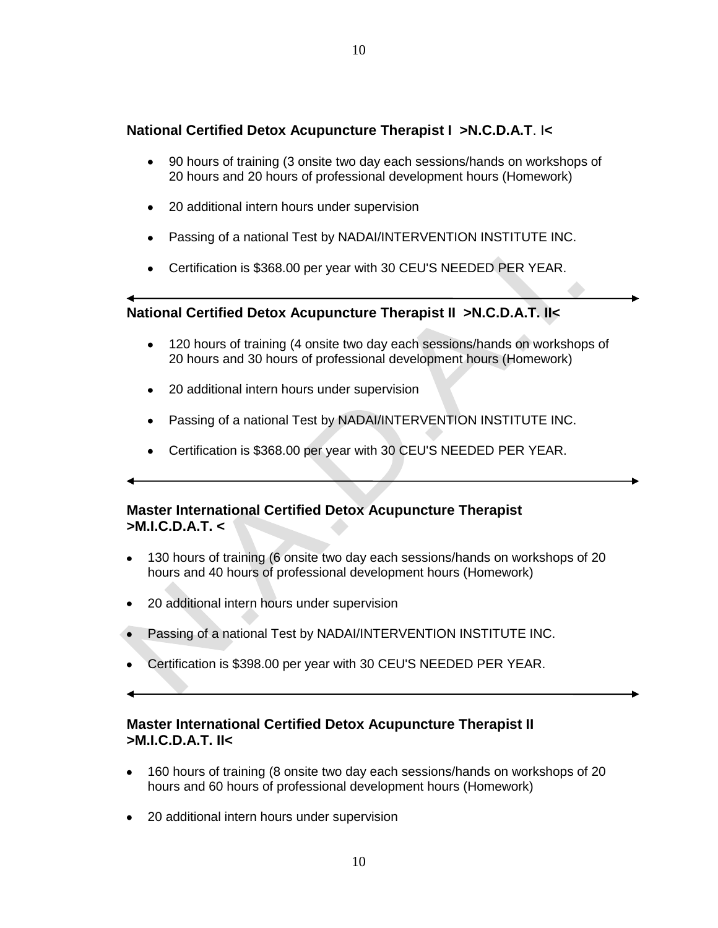# **National Certified Detox Acupuncture Therapist I >N.C.D.A.T**. I**<**

- 90 hours of training (3 onsite two day each sessions/hands on workshops of  $\bullet$ 20 hours and 20 hours of professional development hours (Homework)
- $\bullet$ 20 additional intern hours under supervision
- $\bullet$ Passing of a national Test by NADAI/INTERVENTION INSTITUTE INC.
- Certification is \$368.00 per year with 30 CEU'S NEEDED PER YEAR.

# **National Certified Detox Acupuncture Therapist II >N.C.D.A.T. II<**

- 120 hours of training (4 onsite two day each sessions/hands on workshops of  $\bullet$ 20 hours and 30 hours of professional development hours (Homework)
- 20 additional intern hours under supervision
- Passing of a national Test by NADAI/INTERVENTION INSTITUTE INC.
- Certification is \$368.00 per year with 30 CEU'S NEEDED PER YEAR.

# **Master International Certified Detox Acupuncture Therapist >M.I.C.D.A.T. <**

- 130 hours of training (6 onsite two day each sessions/hands on workshops of 20 hours and 40 hours of professional development hours (Homework)
- 20 additional intern hours under supervision
- Passing of a national Test by NADAI/INTERVENTION INSTITUTE INC.
- Certification is \$398.00 per year with 30 CEU'S NEEDED PER YEAR.
- 

# **Master International Certified Detox Acupuncture Therapist II >M.I.C.D.A.T. II<**

- 160 hours of training (8 onsite two day each sessions/hands on workshops of 20 hours and 60 hours of professional development hours (Homework)
- 20 additional intern hours under supervision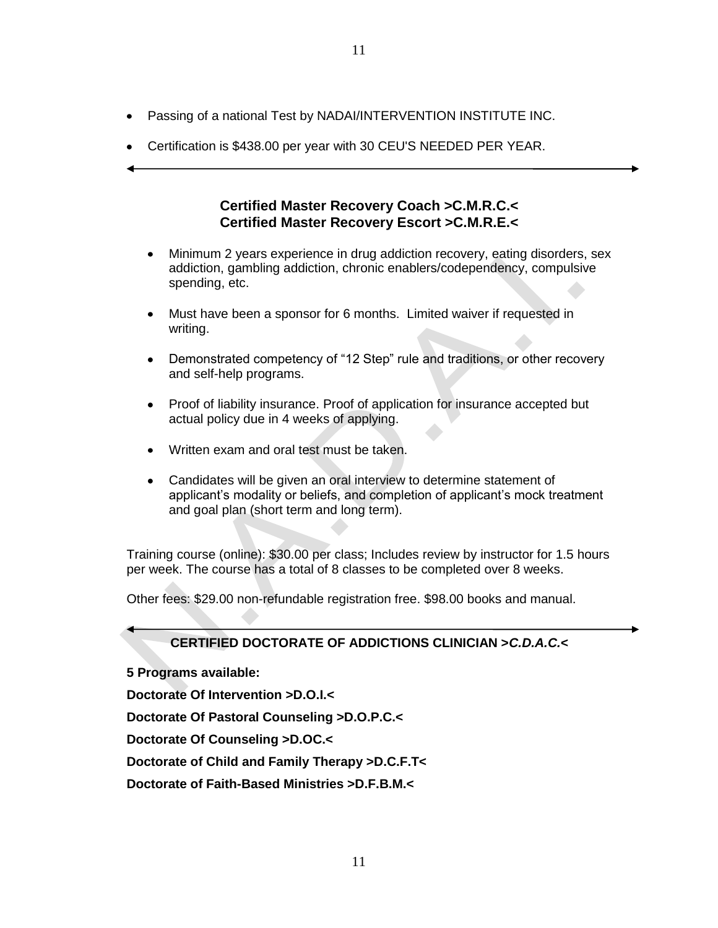- Passing of a national Test by NADAI/INTERVENTION INSTITUTE INC.  $\bullet$
- Certification is \$438.00 per year with 30 CEU'S NEEDED PER YEAR.

### **Certified Master Recovery Coach >C.M.R.C.< Certified Master Recovery Escort >C.M.R.E.<**

- Minimum 2 years experience in drug addiction recovery, eating disorders, sex  $\bullet$ addiction, gambling addiction, chronic enablers/codependency, compulsive spending, etc.
- Must have been a sponsor for 6 months. Limited waiver if requested in  $\bullet$ writing.
- $\bullet$ Demonstrated competency of "12 Step" rule and traditions, or other recovery and self-help programs.
- Proof of liability insurance. Proof of application for insurance accepted but  $\bullet$ actual policy due in 4 weeks of applying.
- Written exam and oral test must be taken.
- Candidates will be given an oral interview to determine statement of  $\bullet$ applicant's modality or beliefs, and completion of applicant's mock treatment and goal plan (short term and long term).

Training course (online): \$30.00 per class; Includes review by instructor for 1.5 hours per week. The course has a total of 8 classes to be completed over 8 weeks.

Other fees: \$29.00 non-refundable registration free. \$98.00 books and manual.

# **CERTIFIED DOCTORATE OF ADDICTIONS CLINICIAN >***C.D.A.C.<*

**5 Programs available:**

**Doctorate Of Intervention >D.O.I.<**

**Doctorate Of Pastoral Counseling >D.O.P.C.<**

**Doctorate Of Counseling >D.OC.<**

**Doctorate of Child and Family Therapy >D.C.F.T<**

**Doctorate of Faith-Based Ministries >D.F.B.M.<**